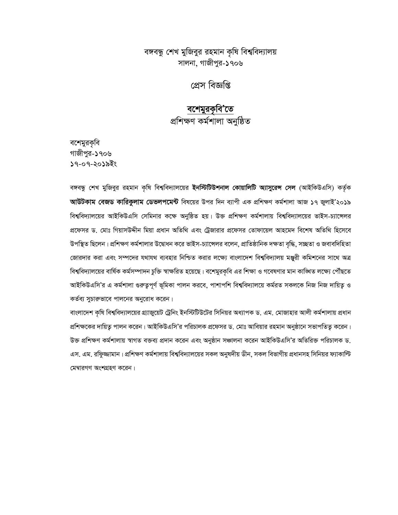### বঙ্গবন্ধু শেখ মুজিবুর রহমান কৃষি বিশ্ববিদ্যালয় সালনা, গাজীপুর-১৭০৬

প্ৰেস বিজ্ঞপ্তি

# <mark>বশেমুরকৃবি'তে</mark><br>প্রশিক্ষণ কর্মশালা অনুষ্ঠিত

বশেমুরকৃবি গাজীপর-১৭০৬ ১৭-০৭-২০১৯ইং

বঙ্গবন্ধু শেখ মুজিবুর রহমান কৃষি বিশ্ববিদ্যালয়ের **ইনস্টিটিউশনাল কোয়ালিটি অ্যাসুরেন্স সেল** (আইকিউএসি) কর্তৃক **আউটকাম বেজড কারিকুলাম ডেভলপমেন্ট** বিষয়ের উপর দিন ব্যাপী এক প্রশিক্ষণ কর্মশালা আজ ১৭ জুলাই'২০১৯ বিশ্ববিদ্যালয়ের আইকিউএসি সেমিনার কক্ষে অনুষ্ঠিত হয়। উক্ত প্রশিক্ষণ কর্মশালায় বিশ্ববিদ্যালয়ের ভাইস-চ্যান্সেলর প্রফেসর ড. মোঃ গিয়াসউদ্দীন মিয়া প্রধান অতিথি এবং ট্রেজারার প্রফেসর তোফায়েল আহমেদ বিশেষ অতিথি হিসেবে উপস্থিত ছিলেন। প্রশিক্ষণ কর্মশালার উদ্বোধন করে ভাইস-চ্যান্সেলর বলেন, প্রাতিষ্ঠানিক দক্ষতা বৃদ্ধি, সচ্ছতা ও জবাবদিহিতা জোরদার করা এবং সম্পদের যথাযথ ব্যবহার নিশ্চিত করার লক্ষ্যে বাংলাদেশ বিশ্ববিদ্যালয় মঞ্জুরী কমিশনের সাথে অত্র বিশ্ববিদ্যালয়ের বার্ষিক কর্মসম্পাদন চুক্তি স্বাক্ষরিত হয়েছে। বশেমুরকৃবি এর শিক্ষা ও গবেষণার মান কাঙ্গিত লক্ষ্যে পৌঁছতে আইকিউএসি'র এ কর্মশালা গুরুত্বপূর্ণ ভূমিকা পালন করবে, পাশাপশি বিশ্ববিদ্যালয়ে কর্মরত সকলকে নিজ নিজ দায়িত্ব ও কর্তব্য সুচারুভাবে পালনের অনুরোধ করেন।

বাংলাদেশ কৃষি বিশ্ববিদ্যালয়ের গ্র্যাজুয়েট ট্রেনিং ইনস্টিটিউটের সিনিয়র অধ্যাপক ড. এম. মোজাহার আলী কর্মশালায় প্রধান প্রশিক্ষকের দায়িত্ব পালন করেন। আইকিউএসি'র পরিচালক প্রফেসর ড. মোঃ আবিয়ার রহমান অনুষ্ঠানে সভাপতিত্ব করেন। উক্ত প্রশিক্ষণ কর্মশালায় স্বাগত বক্তব্য প্রদান করেন এবং অনুষ্ঠান সঞ্চালনা করেন আইকিউএসি'র অতিরিক্ত পরিচালক ড. এস. এম. রফুিজ্জামান। প্রশিক্ষণ কর্মশালায় বিশ্ববিদ্যালয়ের সকল অনুষদীয় ডীন, সকল বিভাগীয় প্রধানসহ সিনিয়র ফ্যাকাল্টি মেম্বারগণ অংশগ্রহণ করেন।